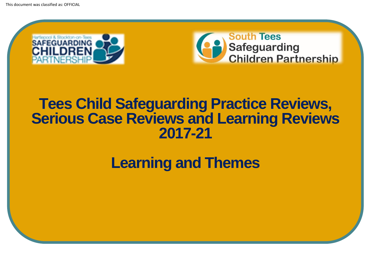



### **Tees Child Safeguarding Practice Reviews, Serious Case Reviews and Learning Reviews 2017-21**

**Learning and Themes**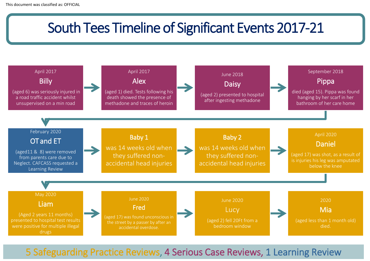## South Tees Timeline of Significant Events 2017-21



5 Safeguarding Practice Reviews, 4 Serious Case Reviews, 1 Learning Review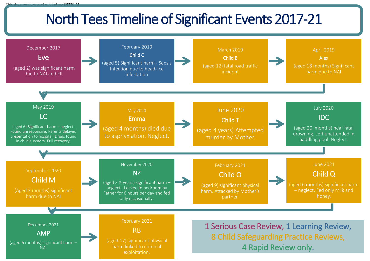# North Tees Timeline of Significant Events 2017-21

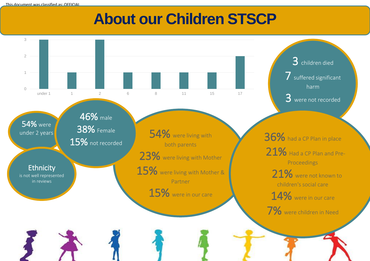# **About our Children STSCP**

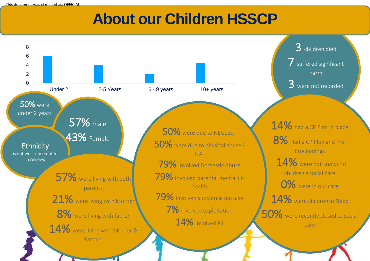This document was classified as: OFFICIAL

## **About our Children HSSCP**

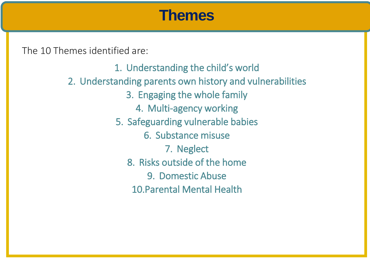### **Themes**

The 10 Themes identified are:

This document was classified as: OFFICIAL

1. Understanding the child's world 2. Understanding parents own history and vulnerabilities 3. Engaging the whole family 4. Multi-agency working 5. Safeguarding vulnerable babies 6. Substance misuse 7. Neglect 8. Risks outside of the home 9. Domestic Abuse 10.Parental Mental Health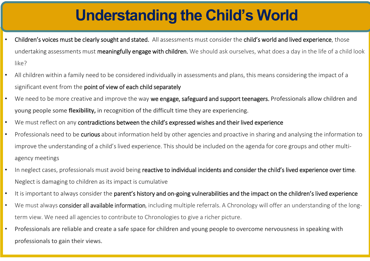# **Understanding the Child's World**

- Children's voices must be clearly sought and stated. All assessments must consider the child's world and lived experience, those undertaking assessments must meaningfully engage with children. We should ask ourselves, what does a day in the life of a child look like?
- All children within a family need to be considered individually in assessments and plans, this means considering the impact of a significant event from the point of view of each child separately
- We need to be more creative and improve the way we engage, safeguard and support teenagers. Professionals allow children and young people some **flexibility,** in recognition of the difficult time they are experiencing.
- We must reflect on any contradictions between the child's expressed wishes and their lived experience

This document was classified as: OFFICIAL

- Professionals need to be curious about information held by other agencies and proactive in sharing and analysing the information to improve the understanding of a child's lived experience. This should be included on the agenda for core groups and other multiagency meetings
- In neglect cases, professionals must avoid being reactive to individual incidents and consider the child's lived experience over time. Neglect is damaging to children as its impact is cumulative
- It is important to always consider the parent's history and on-going vulnerabilities and the impact on the children's lived experience
- We must always consider all available information, including multiple referrals. A Chronology will offer an understanding of the longterm view. We need all agencies to contribute to Chronologies to give a richer picture.
- Professionals are reliable and create a safe space for children and young people to overcome nervousness in speaking with professionals to gain their views.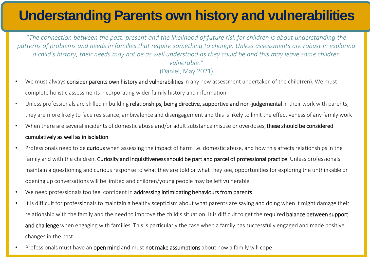### **Understanding Parents own history and vulnerabilities**

"*The connection between the past, present and the likelihood of future risk for children is about understanding the patterns of problems and needs in families that require something to change. Unless assessments are robust in exploring a child's history, their needs may not be as well understood as they could be and this may leave some children vulnerable."* 

- (Daniel, May 2021)
- We must always consider parents own history and vulnerabilities in any new assessment undertaken of the child(ren). We must complete holistic assessments incorporating wider family history and information
- Unless professionals are skilled in building relationships, being directive, supportive and non-judgemental in their work with parents, they are more likely to face resistance, ambivalence and disengagement and this is likely to limit the effectiveness of any family work
- When there are several incidents of domestic abuse and/or adult substance misuse or overdoses, these should be considered cumulatively as well as in isolation
- Professionals need to be curious when assessing the impact of harm i.e. domestic abuse, and how this affects relationships in the family and with the children. Curiosity and inquisitiveness should be part and parcel of professional practice. Unless professionals maintain a questioning and curious response to what they are told or what they see, opportunities for exploring the unthinkable or opening up conversations will be limited and children/young people may be left vulnerable
- We need professionals too feel confident in addressing intimidating behaviours from parents

This document was classified as: OFFICIAL

- It is difficult for professionals to maintain a healthy scepticism about what parents are saying and doing when it might damage their relationship with the family and the need to improve the child's situation. It is difficult to get the required **balance between support** and challenge when engaging with families. This is particularly the case when a family has successfully engaged and made positive changes in the past.
- Professionals must have an open mind and must not make assumptions about how a family will cope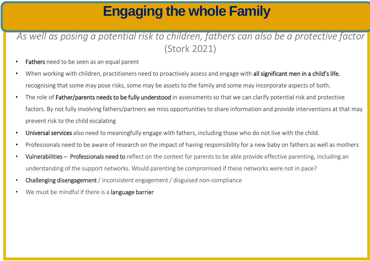## **Engaging the whole Family**

### *As well as posing a potential risk to children, fathers can also be a protective factor* (Stork 2021)

- Fathers need to be seen as an equal parent
- When working with children, practitioners need to proactively assess and engage with all significant men in a child's life, recognising that some may pose risks, some may be assets to the family and some may incorporate aspects of both.
- The role of Father/parents needs to be fully understood in assessments so that we can clarify potential risk and protective factors. By not fully involving fathers/partners we miss opportunities to share information and provide interventions at that may prevent risk to the child escalating
- Universal services also need to meaningfully engage with fathers, including those who do not live with the child.
- Professionals need to be aware of research on the impact of having responsibility for a new baby on fathers as well as mothers
- Vulnerabilities Professionals need to reflect on the context for parents to be able provide effective parenting, including an understanding of the support networks. Would parenting be compromised if these networks were not in pace?
- Challenging disengagement / inconsistent engagement / disguised non-compliance
- We must be mindful if there is a language barrier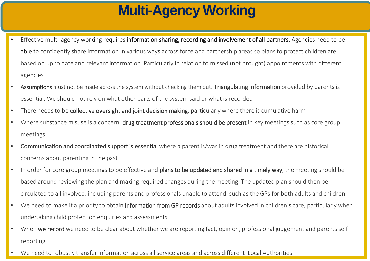# **Multi-Agency Working**

- Effective multi-agency working requires information sharing, recording and involvement of all partners. Agencies need to be able to confidently share information in various ways across force and partnership areas so plans to protect children are based on up to date and relevant information. Particularly in relation to missed (not brought) appointments with different agencies
- Assumptions must not be made across the system without checking them out. Triangulating information provided by parents is essential. We should not rely on what other parts of the system said or what is recorded
- There needs to be collective oversight and joint decision making, particularly where there is cumulative harm
- Where substance misuse is a concern, drug treatment professionals should be present in key meetings such as core group meetings.
- Communication and coordinated support is essential where a parent is/was in drug treatment and there are historical concerns about parenting in the past
- In order for core group meetings to be effective and plans to be updated and shared in a timely way, the meeting should be based around reviewing the plan and making required changes during the meeting. The updated plan should then be circulated to all involved, including parents and professionals unable to attend, such as the GPs for both adults and children
- We need to make it a priority to obtain information from GP records about adults involved in children's care, particularly when undertaking child protection enquiries and assessments
- When we record we need to be clear about whether we are reporting fact, opinion, professional judgement and parents self reporting
- We need to robustly transfer information across all service areas and across different Local Authorities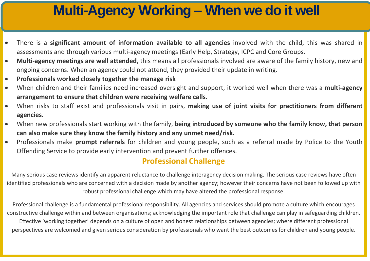### **Multi-Agency Working – When we do it well**

- There is a **significant amount of information available to all agencies** involved with the child, this was shared in assessments and through various multi-agency meetings (Early Help, Strategy, ICPC and Core Groups.
- **Multi-agency meetings are well attended**, this means all professionals involved are aware of the family history, new and ongoing concerns. When an agency could not attend, they provided their update in writing.
- **Professionals worked closely together the manage risk**
- When children and their families need increased oversight and support, it worked well when there was a **multi-agency arrangement to ensure that children were receiving welfare calls.**
- When risks to staff exist and professionals visit in pairs, **making use of joint visits for practitioners from different agencies.**
- When new professionals start working with the family, **being introduced by someone who the family know, that person can also make sure they know the family history and any unmet need/risk.**
- Professionals make **prompt referrals** for children and young people, such as a referral made by Police to the Youth Offending Service to provide early intervention and prevent further offences.

#### **Professional Challenge**

Many serious case reviews identify an apparent reluctance to challenge interagency decision making. The serious case reviews have often identified professionals who are concerned with a decision made by another agency; however their concerns have not been followed up with robust professional challenge which may have altered the professional response.

Professional challenge is a fundamental professional responsibility. All agencies and services should promote a culture which encourages constructive challenge within and between organisations; acknowledging the important role that challenge can play in safeguarding children. Effective 'working together' depends on a culture of open and honest relationships between agencies; where different professional perspectives are welcomed and given serious consideration by professionals who want the best outcomes for children and young people.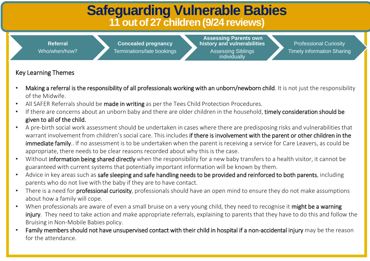### **Safeguarding Vulnerable Babies 11 out of 27 children (9/24 reviews)**

**Referral** Who/when/how?

**Concealed pregnancy** Terminations/late bookings

**Assessing Parents own history and vulnerabilities**  Assessing Siblings individually

Professional Curiosity Timely information Sharing

#### Key Learning Themes

- Making a referral is the responsibility of all professionals working with an unborn/newborn child. It is not just the responsibility of the Midwife.
- All SAFER Referrals should be made in writing as per the Tees Child Protection Procedures.
- If there are concerns about an unborn baby and there are older children in the household, timely consideration should be given to all of the child.
- A pre-birth social work assessment should be undertaken in cases where there are predisposing risks and vulnerabilities that warrant involvement from children's social care. This includes if there is involvement with the parent or other children in the immediate family.. If no assessment is to be undertaken when the parent is receiving a service for Care Leavers, as could be appropriate, there needs to be clear reasons recorded about why this is the case.
- Without information being shared directly when the responsibility for a new baby transfers to a health visitor, it cannot be guaranteed with current systems that potentially important information will be known by them.
- Advice in key areas such as safe sleeping and safe handling needs to be provided and reinforced to both parents, including parents who do not live with the baby if they are to have contact.
- There is a need for **professional curiosity**, professionals should have an open mind to ensure they do not make assumptions about how a family will cope.
- When professionals are aware of even a small bruise on a very young child, they need to recognise it might be a warning injury. They need to take action and make appropriate referrals, explaining to parents that they have to do this and follow the Bruising in Non-Mobile Babies policy.
- Family members should not have unsupervised contact with their child in hospital if a non-accidental injury may be the reason for the attendance.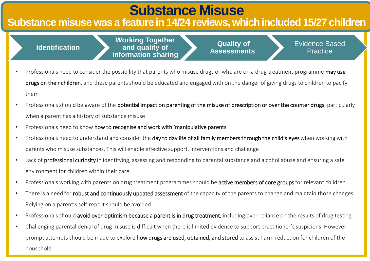### **Substance Misuse**

### **Substance misuse was a feature in 14/24 reviews, which included 15/27 children**

#### **Identification**

**Working Together and quality of information sharing** 

**Quality of Assessments** Evidence Based **Practice** 

- Professionals need to consider the possibility that parents who misuse drugs or who are on a drug treatment programme may use drugs on their children, and these parents should be educated and engaged with on the danger of giving drugs to children to pacify them
- Professionals should be aware of the potential impact on parenting of the misuse of prescription or over the counter drugs, particularly when a parent has a history of substance misuse
- Professionals need to know how to recognise and work with 'manipulative parents'
- Professionals need to understand and consider the day to day life of all family members through the child's eyes when working with parents who misuse substances. This will enable effective support, interventions and challenge
- Lack of professional curiosity in identifying, assessing and responding to parental substance and alcohol abuse and ensuring a safe environment for children within their care
- Professionals working with parents on drug treatment programmes should be active members of core groups for relevant children
- There is a need for robust and continuously updated assessment of the capacity of the parents to change and maintain those changes. Relying on a parent's self-report should be avoided
- Professionals should avoid over-optimism because a parent is in drug treatment, including over-reliance on the results of drug testing
- Challenging parental denial of drug misuse is difficult when there is limited evidence to support practitioner's suspicions. However prompt attempts should be made to explore how drugs are used, obtained, and stored to assist harm reduction for children of the household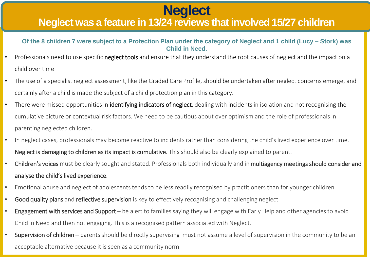## This document was classified as: OFFICIAL **Neglect**

### **Neglect was a feature in 13/24 reviews that involved 15/27 children**

**Of the 8 children 7 were subject to a Protection Plan under the category of Neglect and 1 child (Lucy – Stork) was Child in Need.**

- Professionals need to use specific neglect tools and ensure that they understand the root causes of neglect and the impact on a child over time
- The use of a specialist neglect assessment, like the Graded Care Profile, should be undertaken after neglect concerns emerge, and certainly after a child is made the subject of a child protection plan in this category.
- There were missed opportunities in identifying indicators of neglect, dealing with incidents in isolation and not recognising the cumulative picture or contextual risk factors. We need to be cautious about over optimism and the role of professionals in parenting neglected children.
- In neglect cases, professionals may become reactive to incidents rather than considering the child's lived experience over time. Neglect is damaging to children as its impact is cumulative. This should also be clearly explained to parent.
- Children's voices must be clearly sought and stated. Professionals both individually and in multiagency meetings should consider and analyse the child's lived experience.
- Emotional abuse and neglect of adolescents tends to be less readily recognised by practitioners than for younger children
- Good quality plans and reflective supervision is key to effectively recognising and challenging neglect
- Engagement with services and Support be alert to families saying they will engage with Early Help and other agencies to avoid Child in Need and then not engaging. This is a recognised pattern associated with Neglect.
- Supervision of children parents should be directly supervising must not assume a level of supervision in the community to be an acceptable alternative because it is seen as a community norm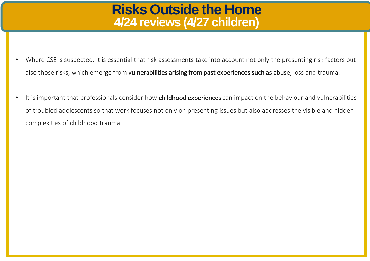### **Risks Outside the Home 4/24 reviews (4/27 children)**

- Where CSE is suspected, it is essential that risk assessments take into account not only the presenting risk factors but also those risks, which emerge from vulnerabilities arising from past experiences such as abuse, loss and trauma.
- It is important that professionals consider how childhood experiences can impact on the behaviour and vulnerabilities of troubled adolescents so that work focuses not only on presenting issues but also addresses the visible and hidden complexities of childhood trauma.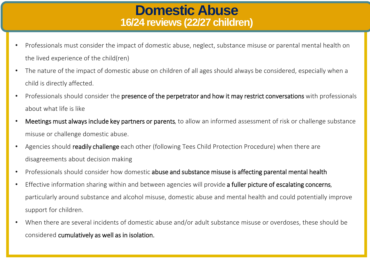### **Domestic Abuse 16/24 reviews (22/27 children)**

- Professionals must consider the impact of domestic abuse, neglect, substance misuse or parental mental health on the lived experience of the child(ren)
- The nature of the impact of domestic abuse on children of all ages should always be considered, especially when a child is directly affected.
- Professionals should consider the presence of the perpetrator and how it may restrict conversations with professionals about what life is like
- Meetings must always include key partners or parents, to allow an informed assessment of risk or challenge substance misuse or challenge domestic abuse.
- Agencies should **readily challenge** each other (following Tees Child Protection Procedure) when there are disagreements about decision making
- Professionals should consider how domestic abuse and substance misuse is affecting parental mental health
- Effective information sharing within and between agencies will provide a fuller picture of escalating concerns, particularly around substance and alcohol misuse, domestic abuse and mental health and could potentially improve support for children.
- When there are several incidents of domestic abuse and/or adult substance misuse or overdoses, these should be considered cumulatively as well as in isolation.